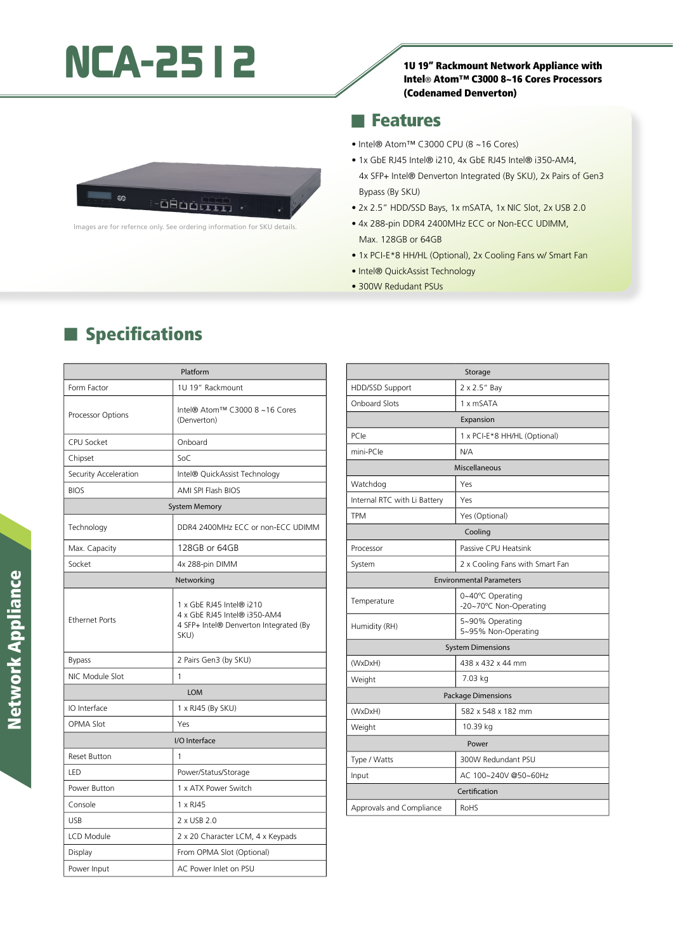## **NCA-2512** 1U 19" Rackmount Network Appliance with

Intel® Atom™ C3000 8~16 Cores Processors (Codenamed Denverton)

### **Features**

- Intel® Atom™ C3000 CPU (8 ~16 Cores)
- 1x GbE RJ45 Intel® i210, 4x GbE RJ45 Intel® i350-AM4, 4x SFP+ Intel® Denverton Integrated (By SKU), 2x Pairs of Gen3 Bypass (By SKU)
- 2x 2.5" HDD/SSD Bays, 1x mSATA, 1x NIC Slot, 2x USB 2.0
- 4x 288-pin DDR4 2400MHz ECC or Non-ECC UDIMM, Max. 128GB or 64GB
- 1x PCI-E\*8 HH/HL (Optional), 2x Cooling Fans w/ Smart Fan

Storage

- Intel® QuickAssist Technology
- 300W Redudant PSUs

| Platform              |                                                                                                            |
|-----------------------|------------------------------------------------------------------------------------------------------------|
| Form Factor           | 1U 19" Rackmount                                                                                           |
| Processor Options     | Intel® Atom™ C3000 8~16 Cores<br>(Denverton)                                                               |
| CPU Socket            | Onboard                                                                                                    |
| Chipset               | SoC                                                                                                        |
| Security Acceleration | Intel® QuickAssist Technology                                                                              |
| <b>BIOS</b>           | AMI SPI Flash BIOS                                                                                         |
| <b>System Memory</b>  |                                                                                                            |
| Technology            | DDR4 2400MHz ECC or non-ECC UDIMM                                                                          |
| Max. Capacity         | 128GB or 64GB                                                                                              |
| Socket                | 4x 288-pin DIMM                                                                                            |
| Networking            |                                                                                                            |
| <b>Ethernet Ports</b> | 1 x GbE RJ45 Intel® i210<br>4 x GbE RJ45 Intel® i350-AM4<br>4 SFP+ Intel® Denverton Integrated (By<br>SKU) |
| <b>Bypass</b>         | 2 Pairs Gen3 (by SKU)                                                                                      |
| NIC Module Slot       | 1                                                                                                          |
| <b>LOM</b>            |                                                                                                            |
| IO Interface          | 1 x RJ45 (By SKU)                                                                                          |
| <b>OPMA Slot</b>      | Yes                                                                                                        |
| I/O Interface         |                                                                                                            |
| Reset Button          | 1                                                                                                          |
| LED                   | Power/Status/Storage                                                                                       |
| Power Button          | 1 x ATX Power Switch                                                                                       |
| Console               | 1 x RJ45                                                                                                   |
| <b>USB</b>            | 2 x USB 2.0                                                                                                |
| LCD Module            | 2 x 20 Character LCM, 4 x Keypads                                                                          |
| Display               | From OPMA Slot (Optional)                                                                                  |
| Power Input           | AC Power Inlet on PSU                                                                                      |

# HDD/SSD Support 2 x 2.5" Bay

| <b>Onboard Slots</b>            | 1 x mSATA                                  |  |
|---------------------------------|--------------------------------------------|--|
| Expansion                       |                                            |  |
| PCIe                            | 1 x PCI-E*8 HH/HL (Optional)               |  |
| mini-PCle                       | N/A                                        |  |
| Miscellaneous                   |                                            |  |
| Watchdog                        | Yes                                        |  |
| Internal RTC with Li Battery    | Yes                                        |  |
| <b>TPM</b>                      | Yes (Optional)                             |  |
| Cooling                         |                                            |  |
| Processor                       | Passive CPU Heatsink                       |  |
| System                          | 2 x Cooling Fans with Smart Fan            |  |
| <b>Environmental Parameters</b> |                                            |  |
| Temperature                     | 0~40°C Operating<br>-20~70°C Non-Operating |  |
| Humidity (RH)                   | 5~90% Operating<br>5~95% Non-Operating     |  |
| <b>System Dimensions</b>        |                                            |  |
| (WxDxH)                         | 438 x 432 x 44 mm                          |  |
| Weight                          | 7.03 kg                                    |  |
| <b>Package Dimensions</b>       |                                            |  |
| (WxDxH)                         | 582 x 548 x 182 mm                         |  |
| Weight                          | 10.39 kg                                   |  |
| Power                           |                                            |  |
| Type / Watts                    | 300W Redundant PSU                         |  |
| Input                           | AC 100~240V @50~60Hz                       |  |
| Certification                   |                                            |  |
| Approvals and Compliance        | RoHS                                       |  |
|                                 |                                            |  |



lmages are for refernce only. See ordering information for SKU details.

-OBoo<del>dii</del>n .

 $\blacksquare$  Specifications

್ತೂ